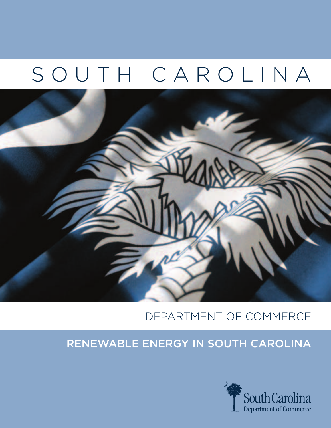# SOUTH CAROLINA



### DEPARTMENT OF COMMERCE

### Renewable Energy in South Carolina

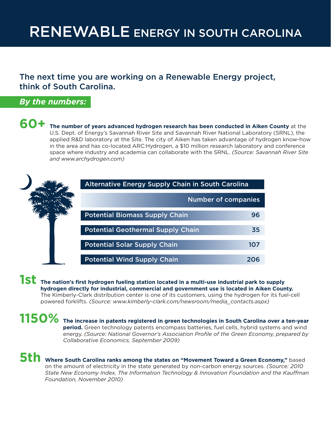## RENEWABLE ENERGY IN SOUTH CAROLINA

### The next time you are working on a Renewable Energy project, think of South Carolina.

#### *By the numbers:*

**60+ The number of years advanced hydrogen research has been conducted in Aiken County** at the U.S. Dept. of Energy's Savannah River Site and Savannah River National Laboratory (SRNL), the applied R&D laboratory at the Site. The city of Aiken has taken advantage of hydrogen know-how in the area and has co-located ARC:Hydrogen, a \$10 million research laboratory and conference space where industry and academia can collaborate with the SRNL. *(Source: Savannah River Site and www.archydrogen.com)*



**1st** The nation's first hydrogen fueling station located in a multi-use industrial park to supply **hydrogen directly for industrial, commercial and government use is located in Aiken County.** The Kimberly-Clark distribution center is one of its customers, using the hydrogen for its fuel-cell powered forklifts. *(Source: www.kimberly-clark.com/newsroom/media\_contacts.aspx)* 

**1150%** The increase in patents registered in green technologies in South Carolina over a ten-year **and wind period.** Green technology patents encompass batteries, fuel cells, hybrid systems and wind energy. *(Source: National Governor's Association Profile of the Green Economy, prepared by Collaborative Economics, September 2009)*

**5th** Where South Carolina ranks among the states on "Movement Toward a Green Economy," based on the amount of electricity in the state generated by non-carbon energy sources. *(Source: 2010 State New Economy Index, The Information Technology & Innovation Foundation and the Kauffman Foundation, November 2010)*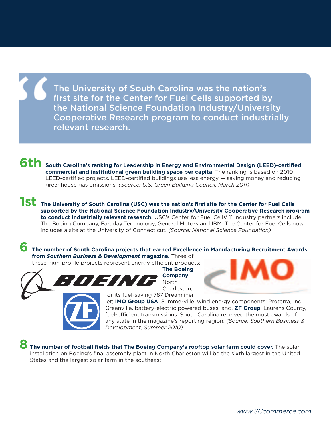The University of South Carolina was the nation's first site for the Center for Fuel Cells supported by the National Science Foundation Industry/University Cooperative Research program to conduct industrially relevant research.

**6th** South Carolina's ranking for Leadership in Energy and Environmental Design (LEED)-certified **commercial and institutional green building space per capita**. The ranking is based on 2010 LEED-certified projects. LEED-certified buildings use less energy — saving money and reducing greenhouse gas emissions. *(Source: U.S. Green Building Council, March 2011)*

**1st** The University of South Carolina (USC) was the nation's first site for the Center for Fuel Cells **supported by the National Science Foundation Industry/University Cooperative Research program to conduct industrially relevant research.** USC's Center for Fuel Cells' 11 industry partners include The Boeing Company, Faraday Technology, General Motors and IBM. The Center for Fuel Cells now includes a site at the University of Connecticut. *(Source: National Science Foundation)*

**6 The number of South Carolina projects that earned Excellence in Manufacturing Recruitment Awards from** *Southern Business & Development* **magazine.** Three of

these high-profile projects represent energy efficient products:



**The Boeing Company**, North Charleston,



jet; **IMO Group USA**, Summerville, wind energy components; Proterra, Inc., Greenville, battery-electric powered buses; and, **ZF Group**, Laurens County, fuel-efficient transmissions. South Carolina received the most awards of any state in the magazine's reporting region. *(Source: Southern Business & Development, Summer 2010)*

**8 The number of football fields that The Boeing Company's rooftop solar farm could cover.** The solar installation on Boeing's final assembly plant in North Charleston will be the sixth largest in the United States and the largest solar farm in the southeast.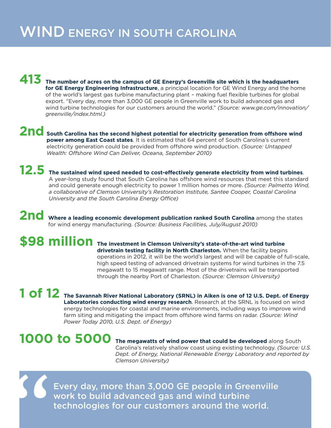### WIND ENERGY IN SOUTH CAROLINA

#### **413 The number of acres on the campus of GE Energy's Greenville site which is the headquarters for GE Energy Engineering Infrastructure**, a principal location for GE Wind Energy and the home of the world's largest gas turbine manufacturing plant – making fuel flexible turbines for global export. "Every day, more than 3,000 GE people in Greenville work to build advanced gas and wind turbine technologies for our customers around the world." *(Source: www.ge.com/innovation/ greenville/index.html.)*

#### **2nd South Carolina has the second highest potential for electricity generation from offshore wind power among East Coast states**. It is estimated that 64 percent of South Carolina's current electricity generation could be provided from offshore wind production. *(Source: Untapped Wealth: Offshore Wind Can Deliver, Oceana, September 2010)*

**12.5** The sustained wind speed needed to cost-effectively generate electricity from wind turbines. A year-long study found that South Carolina has offshore wind resources that meet this standard and could generate enough electricity to power 1 million homes or more. *(Source: Palmetto Wind, a collaborative of Clemson University's Restoration Institute, Santee Cooper, Coastal Carolina University and the South Carolina Energy Office)*

2nd Where a leading economic development publication ranked South Carolina among the states for wind energy manufacturing. *(Source: Business Facilities, July/August 2010)* 

**\$98 million** The investment in Clemson University's state-of-the-art wind turbine **drivetrain testing facility in North Charleston.** When the facility begins operations in 2012, it will be the world's largest and will be capable of full-scale, high speed testing of advanced drivetrain systems for wind turbines in the 7.5 megawatt to 15 megawatt range. Most of the drivetrains will be transported through the nearby Port of Charleston. *(Source: Clemson University)* 

**1 of 12** The Savannah River National Laboratory (SRNL) in Aiken is one of 12 U.S. Dept. of Energy **10 Winds Laboratories conducting wind energy research**. Research at the SRNL is focused on wind energy technologies for coastal and marine environments, including ways to improve wind farm siting and mitigating the impact from offshore wind farms on radar. *(Source: Wind Power Today 2010, U.S. Dept. of Energy)*

1000 to 5000 The megawatts of wind power that could be developed along South Carolina's relatively shallow coast using existing technology. *(Source: U.S. Dept. of Energy, National Renewable Energy Laboratory and reported by Clemson University)*

Every day, more than 3,000 GE people in Greenville work to build advanced gas and wind turbine technologies for our customers around the world.